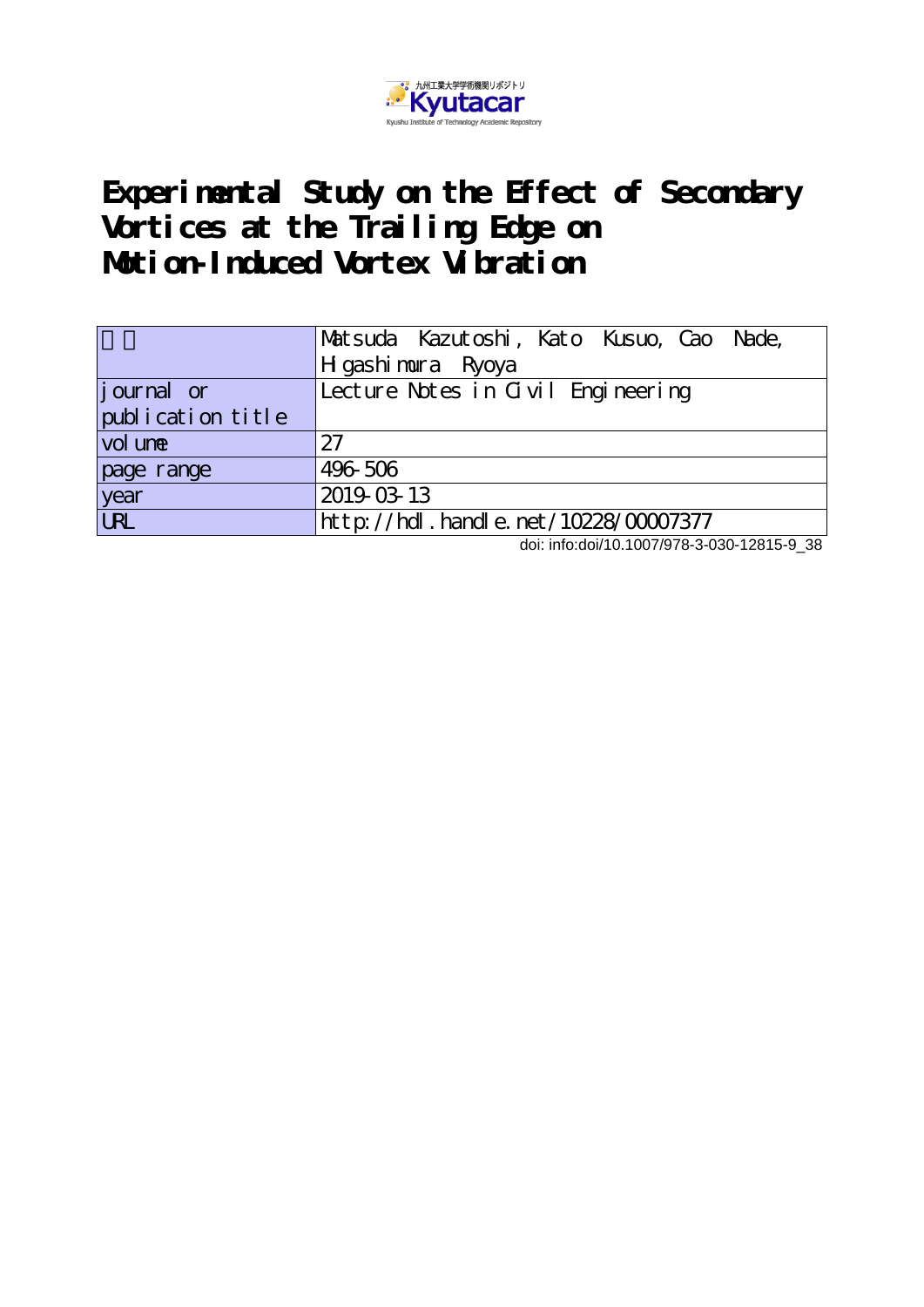

# **Experimental Study on the Effect of Secondary Vortices at the Trailing Edge on Motion-Induced Vortex Vibration**

|                   | Matsuda Kazutoshi, Kato Kusuo, Cao Nade,<br>H gashi mura Ryoya |  |  |  |  |  |  |  |  |
|-------------------|----------------------------------------------------------------|--|--|--|--|--|--|--|--|
|                   |                                                                |  |  |  |  |  |  |  |  |
| journal or        | Lecture Notes in Civil Engineering                             |  |  |  |  |  |  |  |  |
| publication title |                                                                |  |  |  |  |  |  |  |  |
| vol une           | 27                                                             |  |  |  |  |  |  |  |  |
| page range        | 496 506                                                        |  |  |  |  |  |  |  |  |
| year<br>URL       | 2019-03-13                                                     |  |  |  |  |  |  |  |  |
|                   | $http://hdl. handle. net/10228/00007377$                       |  |  |  |  |  |  |  |  |

doi: info:doi/10.1007/978-3-030-12815-9\_38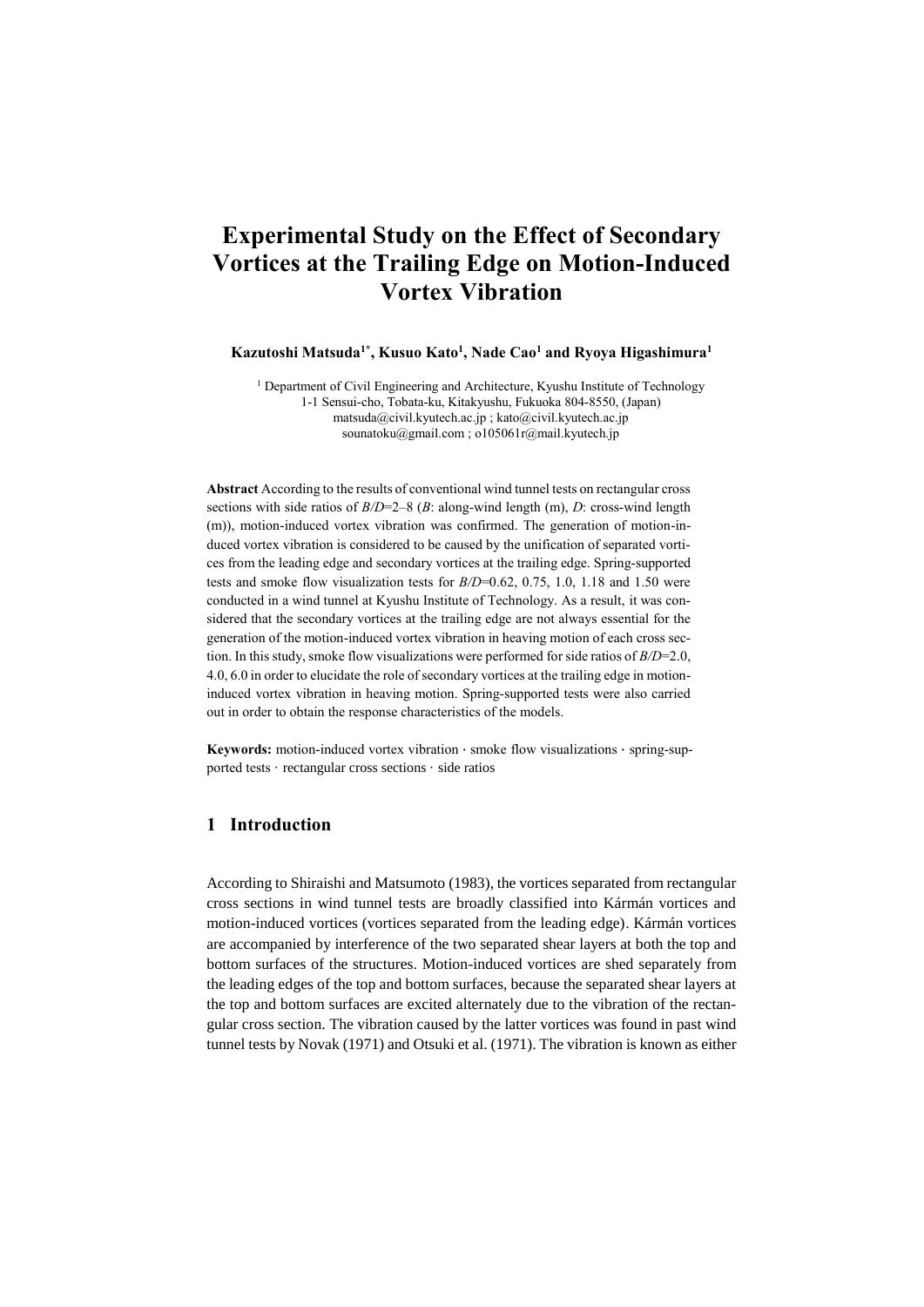# **Experimental Study on the Effect of Secondary Vortices at the Trailing Edge on Motion-Induced Vortex Vibration**

**Kazutoshi Matsuda1\* , Kusuo Kato<sup>1</sup> , Nade Cao<sup>1</sup> and Ryoya Higashimura<sup>1</sup>**

<sup>1</sup> Department of Civil Engineering and Architecture, Kyushu Institute of Technology 1-1 Sensui-cho, Tobata-ku, Kitakyushu, Fukuoka 804-8550, (Japan) matsuda@civil.kyutech.ac.jp ; kato@civil.kyutech.ac.jp [sounatoku@gmail.com](mailto:sounatoku@gmail.com) ; [o105061r@mail.kyutech.jp](mailto:o105061r@mail.kyutech.jp)

**Abstract** According to the results of conventional wind tunnel tests on rectangular cross sections with side ratios of *B/D*=2–8 (*B*: along-wind length (m), *D*: cross-wind length (m)), motion-induced vortex vibration was confirmed. The generation of motion-induced vortex vibration is considered to be caused by the unification of separated vortices from the leading edge and secondary vortices at the trailing edge. Spring-supported tests and smoke flow visualization tests for *B/D*=0.62, 0.75, 1.0, 1.18 and 1.50 were conducted in a wind tunnel at Kyushu Institute of Technology. As a result, it was considered that the secondary vortices at the trailing edge are not always essential for the generation of the motion-induced vortex vibration in heaving motion of each cross section. In this study, smoke flow visualizations were performed for side ratios of *B/D*=2.0, 4.0, 6.0 in order to elucidate the role of secondary vortices at the trailing edge in motioninduced vortex vibration in heaving motion. Spring-supported tests were also carried out in order to obtain the response characteristics of the models.

**Keywords:** motion-induced vortex vibration · smoke flow visualizations · spring-supported tests · rectangular cross sections · side ratios

# **1 Introduction**

According to Shiraishi and Matsumoto (1983), the vortices separated from rectangular cross sections in wind tunnel tests are broadly classified into Kármán vortices and motion-induced vortices (vortices separated from the leading edge). Kármán vortices are accompanied by interference of the two separated shear layers at both the top and bottom surfaces of the structures. Motion-induced vortices are shed separately from the leading edges of the top and bottom surfaces, because the separated shear layers at the top and bottom surfaces are excited alternately due to the vibration of the rectangular cross section. The vibration caused by the latter vortices was found in past wind tunnel tests by Novak (1971) and Otsuki et al. (1971). The vibration is known as either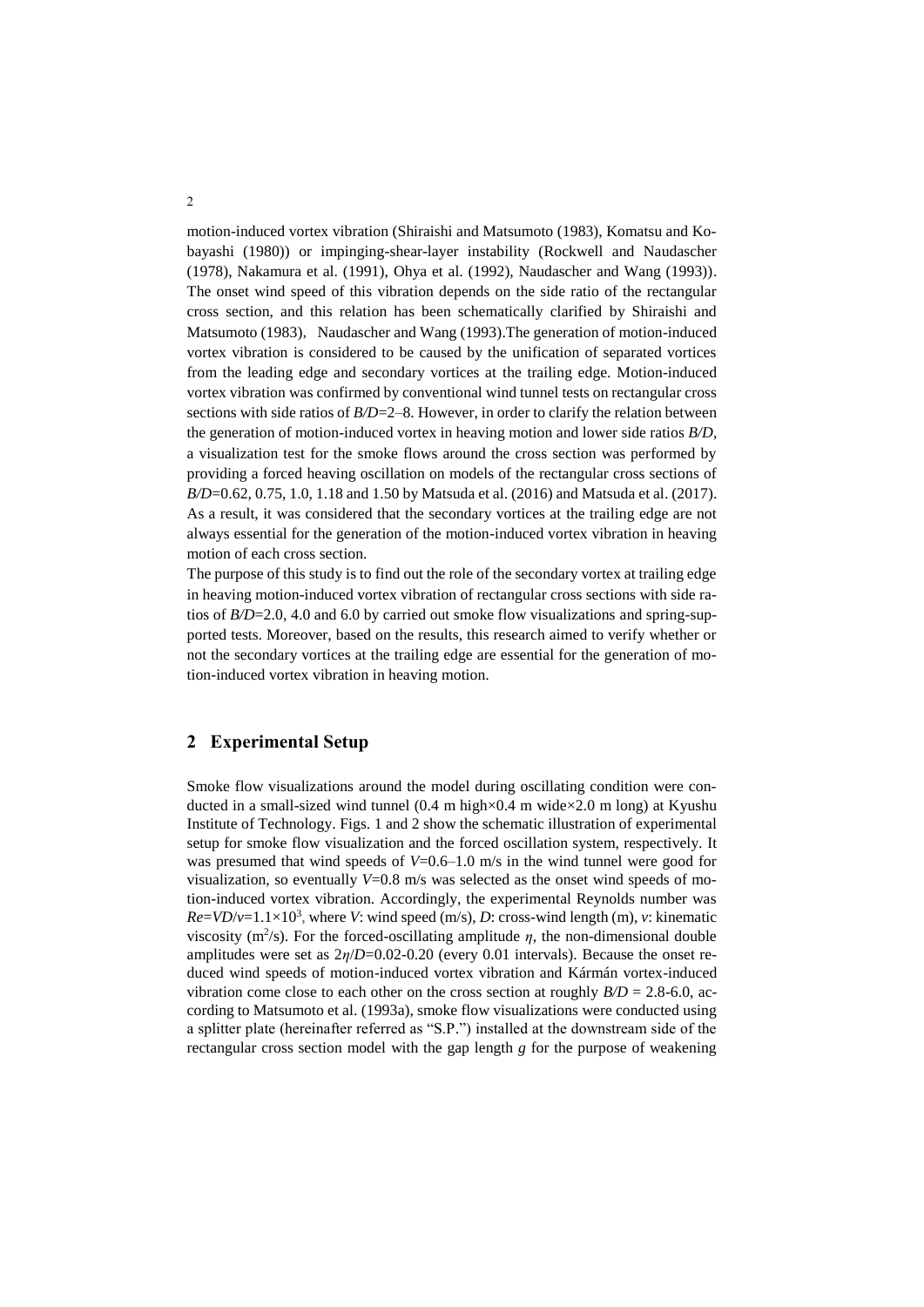motion-induced vortex vibration (Shiraishi and Matsumoto (1983), Komatsu and Kobayashi (1980)) or impinging-shear-layer instability (Rockwell and Naudascher (1978), Nakamura et al. (1991), Ohya et al. (1992), Naudascher and Wang (1993)). The onset wind speed of this vibration depends on the side ratio of the rectangular cross section, and this relation has been schematically clarified by Shiraishi and Matsumoto (1983), Naudascher and Wang (1993).The generation of motion-induced vortex vibration is considered to be caused by the unification of separated vortices from the leading edge and secondary vortices at the trailing edge. Motion-induced vortex vibration was confirmed by conventional wind tunnel tests on rectangular cross sections with side ratios of *B/D*=2–8. However, in order to clarify the relation between the generation of motion-induced vortex in heaving motion and lower side ratios *B/D*, a visualization test for the smoke flows around the cross section was performed by providing a forced heaving oscillation on models of the rectangular cross sections of *B/D*=0.62, 0.75, 1.0, 1.18 and 1.50 by Matsuda et al. (2016) and Matsuda et al. (2017). As a result, it was considered that the secondary vortices at the trailing edge are not always essential for the generation of the motion-induced vortex vibration in heaving motion of each cross section.

The purpose of this study is to find out the role of the secondary vortex at trailing edge in heaving motion-induced vortex vibration of rectangular cross sections with side ratios of *B/D*=2.0, 4.0 and 6.0 by carried out smoke flow visualizations and spring-supported tests. Moreover, based on the results, this research aimed to verify whether or not the secondary vortices at the trailing edge are essential for the generation of motion-induced vortex vibration in heaving motion.

# **2 Experimental Setup**

Smoke flow visualizations around the model during oscillating condition were conducted in a small-sized wind tunnel (0.4 m high×0.4 m wide×2.0 m long) at Kyushu Institute of Technology. Figs. 1 and 2 show the schematic illustration of experimental setup for smoke flow visualization and the forced oscillation system, respectively. It was presumed that wind speeds of  $V=0.6-1.0$  m/s in the wind tunnel were good for visualization, so eventually  $V=0.8$  m/s was selected as the onset wind speeds of motion-induced vortex vibration. Accordingly, the experimental Reynolds number was  $Re=VD/v=1.1\times10^3$ , where *V*: wind speed (m/s), *D*: cross-wind length (m), *v*: kinematic viscosity ( $m^2/s$ ). For the forced-oscillating amplitude  $\eta$ , the non-dimensional double amplitudes were set as 2*η*/*D*=0.02-0.20 (every 0.01 intervals). Because the onset reduced wind speeds of motion-induced vortex vibration and Kármán vortex-induced vibration come close to each other on the cross section at roughly  $B/D = 2.8$ -6.0, according to Matsumoto et al. (1993a), smoke flow visualizations were conducted using a splitter plate (hereinafter referred as "S.P.") installed at the downstream side of the rectangular cross section model with the gap length *g* for the purpose of weakening

2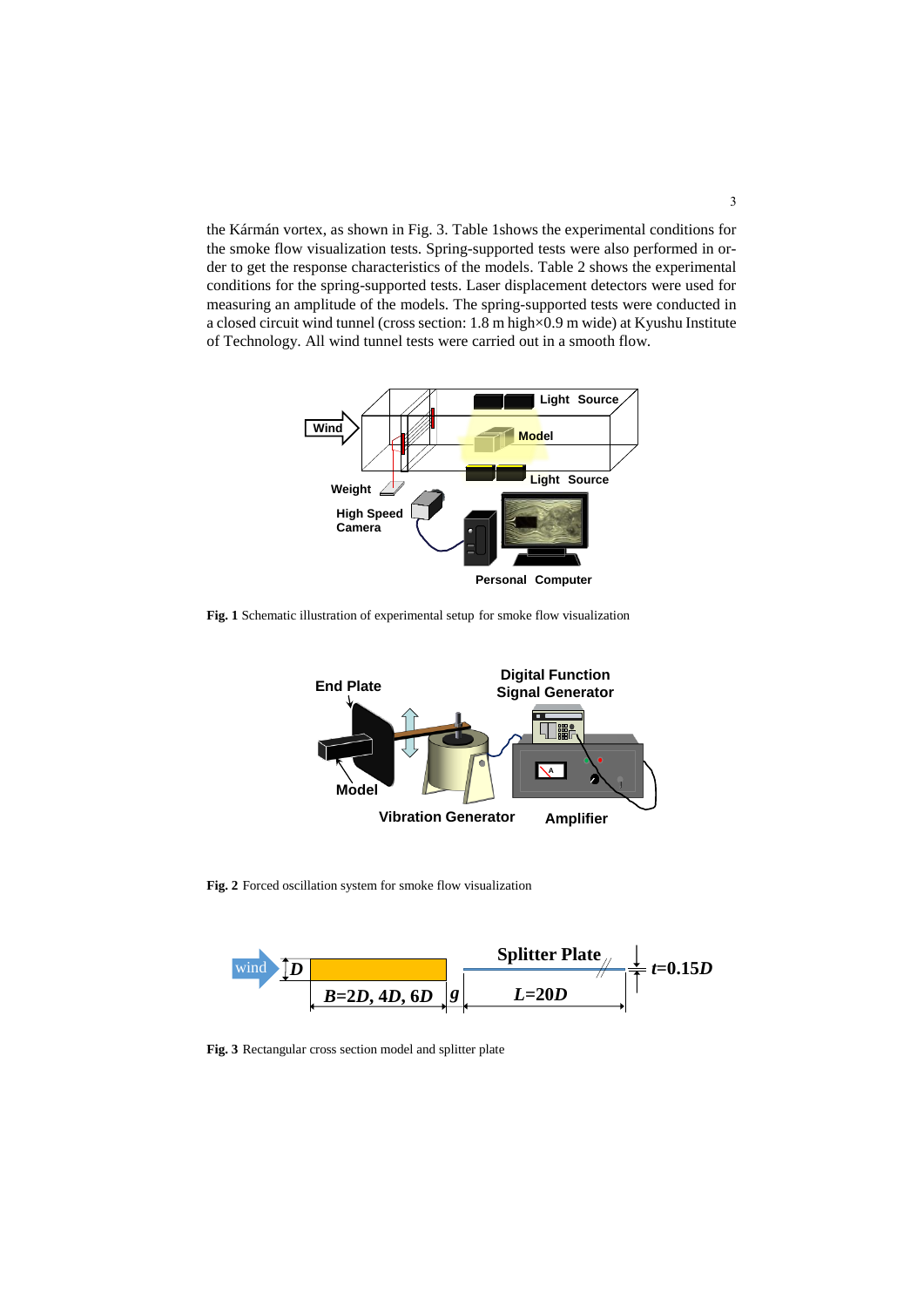the Kármán vortex, as shown in Fig. 3. Table 1shows the experimental conditions for the smoke flow visualization tests. Spring-supported tests were also performed in order to get the response characteristics of the models. Table 2 shows the experimental conditions for the spring-supported tests. Laser displacement detectors were used for measuring an amplitude of the models. The spring-supported tests were conducted in a closed circuit wind tunnel (cross section: 1.8 m high×0.9 m wide) at Kyushu Institute of Technology. All wind tunnel tests were carried out in a smooth flow.



**Fig. 1** Schematic illustration of experimental setup for smoke flow visualization



**Fig. 2** Forced oscillation system for smoke flow visualization



**Fig. 3** Rectangular cross section model and splitter plate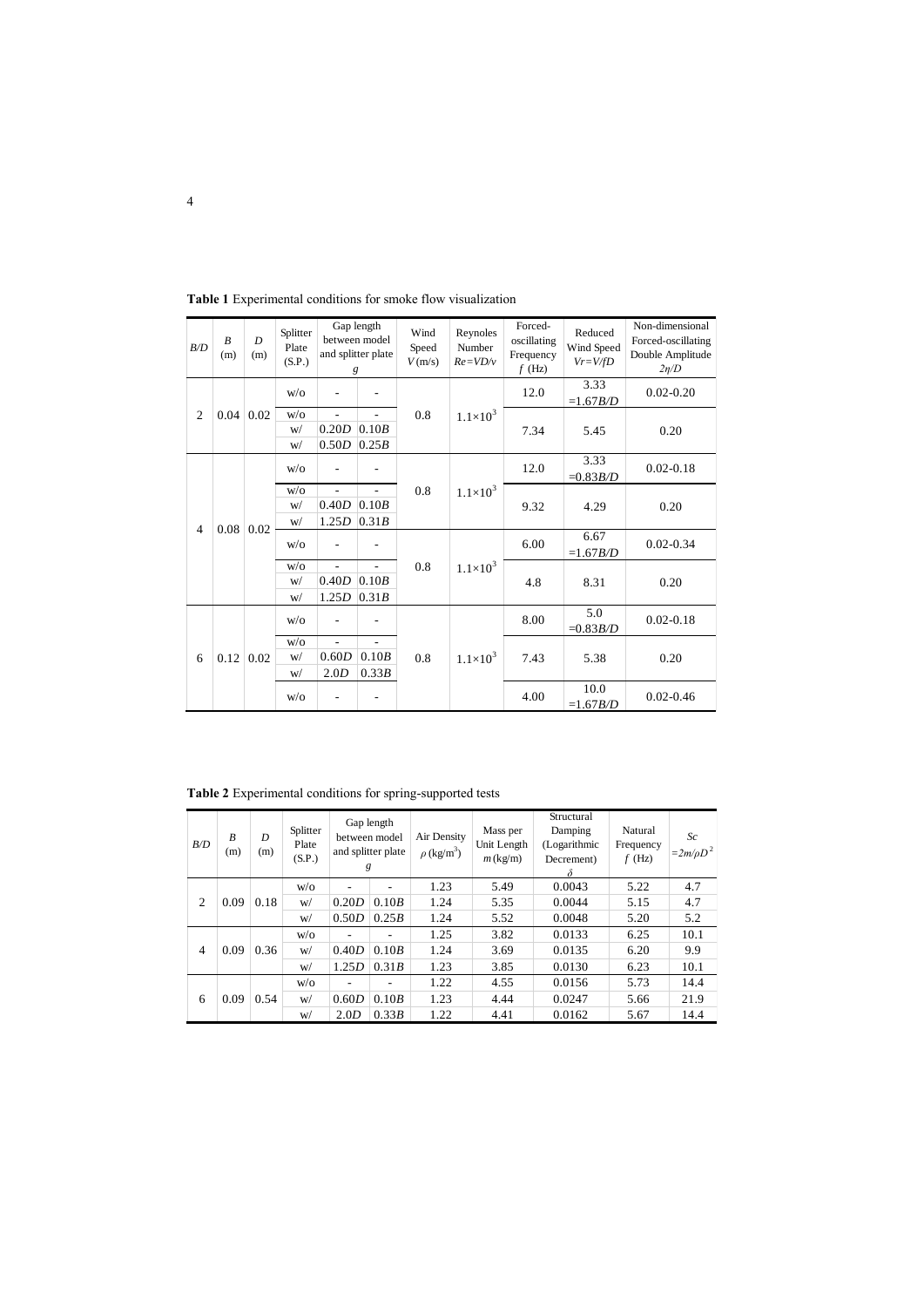| B/D            | $\boldsymbol{B}$<br>(m) | $\overline{D}$<br>(m) | Splitter<br>Plate<br>(S.P.) | Gap length<br>between model<br>and splitter plate<br>g |                | Wind<br>Speed<br>V(m/s) | Reynoles<br>Number<br>$Re=VD/v$ | Forced-<br>oscillating<br>Frequency<br>$f$ (Hz) | Reduced<br>Wind Speed<br>$Vr = V/fD$ | Non-dimensional<br>Forced-oscillating<br>Double Amplitude<br>$2\eta/D$ |
|----------------|-------------------------|-----------------------|-----------------------------|--------------------------------------------------------|----------------|-------------------------|---------------------------------|-------------------------------------------------|--------------------------------------|------------------------------------------------------------------------|
| $\overline{2}$ | 0.04                    | 0.02                  | W/O                         |                                                        |                | 0.8                     | $1.1 \times 10^{3}$             | 12.0                                            | 3.33<br>$=1.67 B/D$                  | $0.02 - 0.20$                                                          |
|                |                         |                       | W/O                         | $\overline{\phantom{0}}$                               | ٠              |                         |                                 | 7.34                                            | 5.45                                 | 0.20                                                                   |
|                |                         |                       | W/                          | 0.20D                                                  | 0.10B          |                         |                                 |                                                 |                                      |                                                                        |
|                |                         |                       | W/                          | 0.50D                                                  | 0.25B          |                         |                                 |                                                 |                                      |                                                                        |
| $\overline{4}$ | 0.08                    | 0.02                  | W/O                         | ۰                                                      |                | 0.8                     | $1.1 \times 10^{3}$             | 12.0                                            | 3.33<br>$=0.83B/D$                   | $0.02 - 0.18$                                                          |
|                |                         |                       | W/O                         | $\overline{a}$                                         | $\overline{a}$ |                         |                                 | 9.32                                            | 4.29                                 | 0.20                                                                   |
|                |                         |                       | W/                          | 0.40D                                                  | 0.10B          |                         |                                 |                                                 |                                      |                                                                        |
|                |                         |                       | W/                          | 1.25D                                                  | 0.31B          |                         |                                 |                                                 |                                      |                                                                        |
|                |                         |                       | W/O                         |                                                        |                | 0.8                     | $1.1 \times 10^{3}$             | 6.00                                            | 6.67<br>$=1.67 B/D$                  | $0.02 - 0.34$                                                          |
|                |                         |                       | W/O                         | $\overline{a}$                                         |                |                         |                                 | 4.8                                             | 8.31                                 | 0.20                                                                   |
|                |                         |                       | W/                          | 0.40D                                                  | 0.10B          |                         |                                 |                                                 |                                      |                                                                        |
|                |                         |                       | W/                          | 1.25D                                                  | 0.31B          |                         |                                 |                                                 |                                      |                                                                        |
|                | 0.12                    | 0.02                  | W/O                         |                                                        |                | 0.8                     | $1.1 \times 10^{3}$             | 8.00                                            | 5.0<br>$=0.83B/D$                    | $0.02 - 0.18$                                                          |
|                |                         |                       | W/O                         | ÷                                                      |                |                         |                                 | 7.43                                            | 5.38                                 |                                                                        |
| 6              |                         |                       | W/                          | 0.60D                                                  | 0.10B          |                         |                                 |                                                 |                                      | 0.20                                                                   |
|                |                         |                       | W/                          | 2.0D                                                   | 0.33B          |                         |                                 |                                                 |                                      |                                                                        |
|                |                         |                       | W/O                         |                                                        |                |                         |                                 | 4.00                                            | 10.0<br>$=1.67B/D$                   | $0.02 - 0.46$                                                          |

**Table 1** Experimental conditions for smoke flow visualization

**Table 2** Experimental conditions for spring-supported tests

| B/D            | B<br>(m) | D<br>(m) | Splitter<br>Plate<br>(S.P.) | Gap length<br>between model<br>and splitter plate<br>g |       | Air Density<br>$\rho$ (kg/m <sup>3</sup> ) | Mass per<br>Unit Length<br>$m$ (kg/m) | Structural<br>Damping<br>(Logarithmic<br>Decrement)<br>δ | Natural<br>Frequency<br>$f$ (Hz) | Sc.<br>$=2m/\rho D^2$ |
|----------------|----------|----------|-----------------------------|--------------------------------------------------------|-------|--------------------------------------------|---------------------------------------|----------------------------------------------------------|----------------------------------|-----------------------|
| 2              | 0.09     | 0.18     | W/O                         |                                                        |       | 1.23                                       | 5.49                                  | 0.0043                                                   | 5.22                             | 4.7                   |
|                |          |          | W/                          | 0.20D                                                  | 0.10B | 1.24                                       | 5.35                                  | 0.0044                                                   | 5.15                             | 4.7                   |
|                |          |          | W/                          | 0.50D                                                  | 0.25B | 1.24                                       | 5.52                                  | 0.0048                                                   | 5.20                             | 5.2                   |
| $\overline{4}$ | 0.09     | 0.36     | W/O                         | $\overline{\phantom{a}}$                               |       | 1.25                                       | 3.82                                  | 0.0133                                                   | 6.25                             | 10.1                  |
|                |          |          | W/                          | 0.40D                                                  | 0.10B | 1.24                                       | 3.69                                  | 0.0135                                                   | 6.20                             | 9.9                   |
|                |          |          | W/                          | 1.25D                                                  | 0.31B | 1.23                                       | 3.85                                  | 0.0130                                                   | 6.23                             | 10.1                  |
| 6              | 0.09     | 0.54     | W/O                         | $\overline{\phantom{a}}$                               |       | 1.22                                       | 4.55                                  | 0.0156                                                   | 5.73                             | 14.4                  |
|                |          |          | W/                          | 0.60D                                                  | 0.10B | 1.23                                       | 4.44                                  | 0.0247                                                   | 5.66                             | 21.9                  |
|                |          |          | W/                          | 2.0D                                                   | 0.33B | 1.22                                       | 4.41                                  | 0.0162                                                   | 5.67                             | 14.4                  |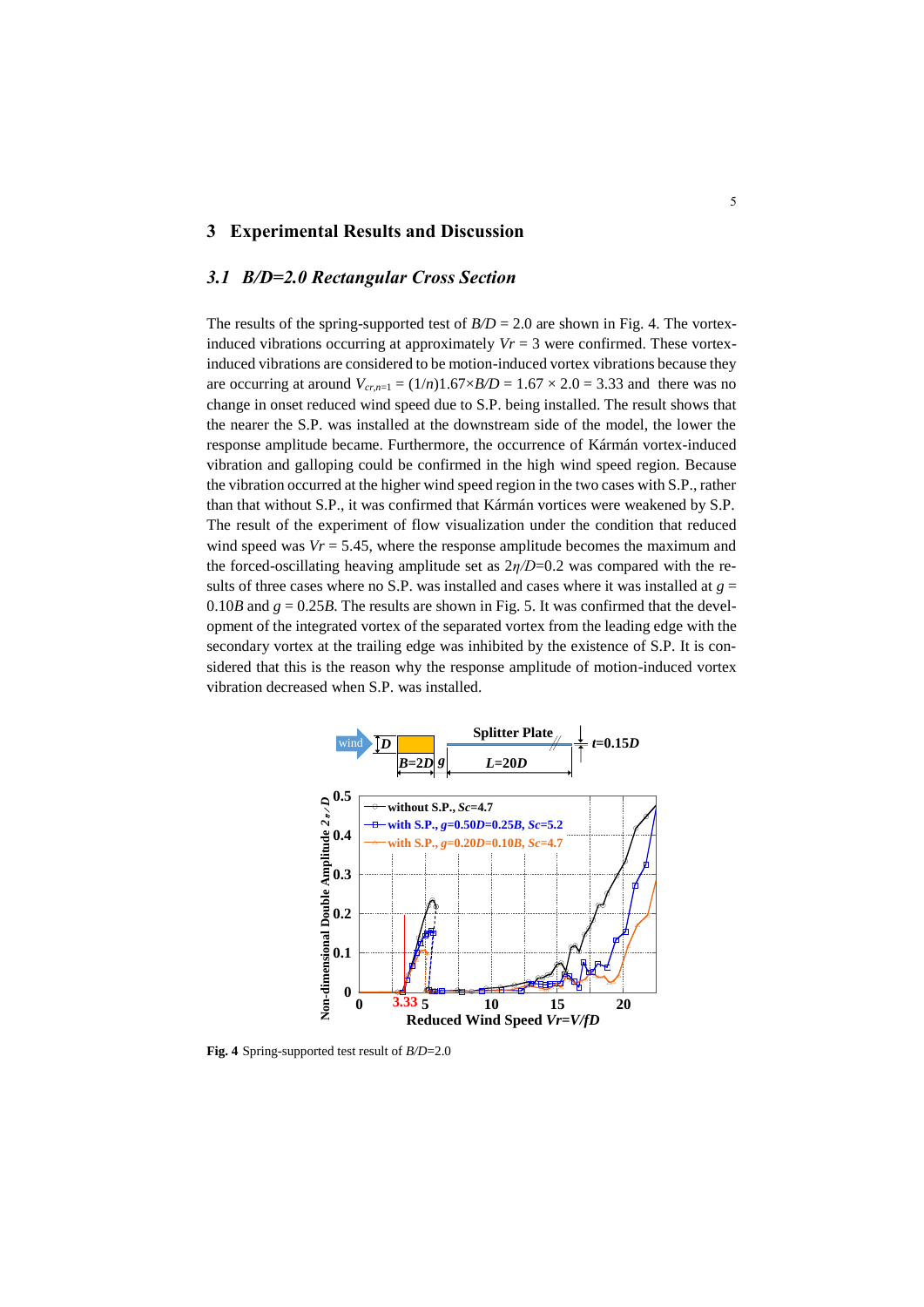### **3 Experimental Results and Discussion**

#### *3.1 B/D=2.0 Rectangular Cross Section*

The results of the spring-supported test of  $B/D = 2.0$  are shown in Fig. 4. The vortexinduced vibrations occurring at approximately  $Vr = 3$  were confirmed. These vortexinduced vibrations are considered to be motion-induced vortex vibrations because they are occurring at around  $V_{cr,n=1} = (1/n)1.67 \times B/D = 1.67 \times 2.0 = 3.33$  and there was no change in onset reduced wind speed due to S.P. being installed. The result shows that the nearer the S.P. was installed at the downstream side of the model, the lower the response amplitude became. Furthermore, the occurrence of Kármán vortex-induced vibration and galloping could be confirmed in the high wind speed region. Because the vibration occurred at the higher wind speed region in the two cases with S.P., rather than that without S.P., it was confirmed that Kármán vortices were weakened by S.P. The result of the experiment of flow visualization under the condition that reduced wind speed was  $V = 5.45$ , where the response amplitude becomes the maximum and the forced-oscillating heaving amplitude set as 2*η/D*=0.2 was compared with the results of three cases where no S.P. was installed and cases where it was installed at  $g =$ 0.10*B* and  $g = 0.25B$ . The results are shown in Fig. 5. It was confirmed that the development of the integrated vortex of the separated vortex from the leading edge with the secondary vortex at the trailing edge was inhibited by the existence of S.P. It is considered that this is the reason why the response amplitude of motion-induced vortex vibration decreased when S.P. was installed.



**Fig. 4** Spring-supported test result of *B/D*=2.0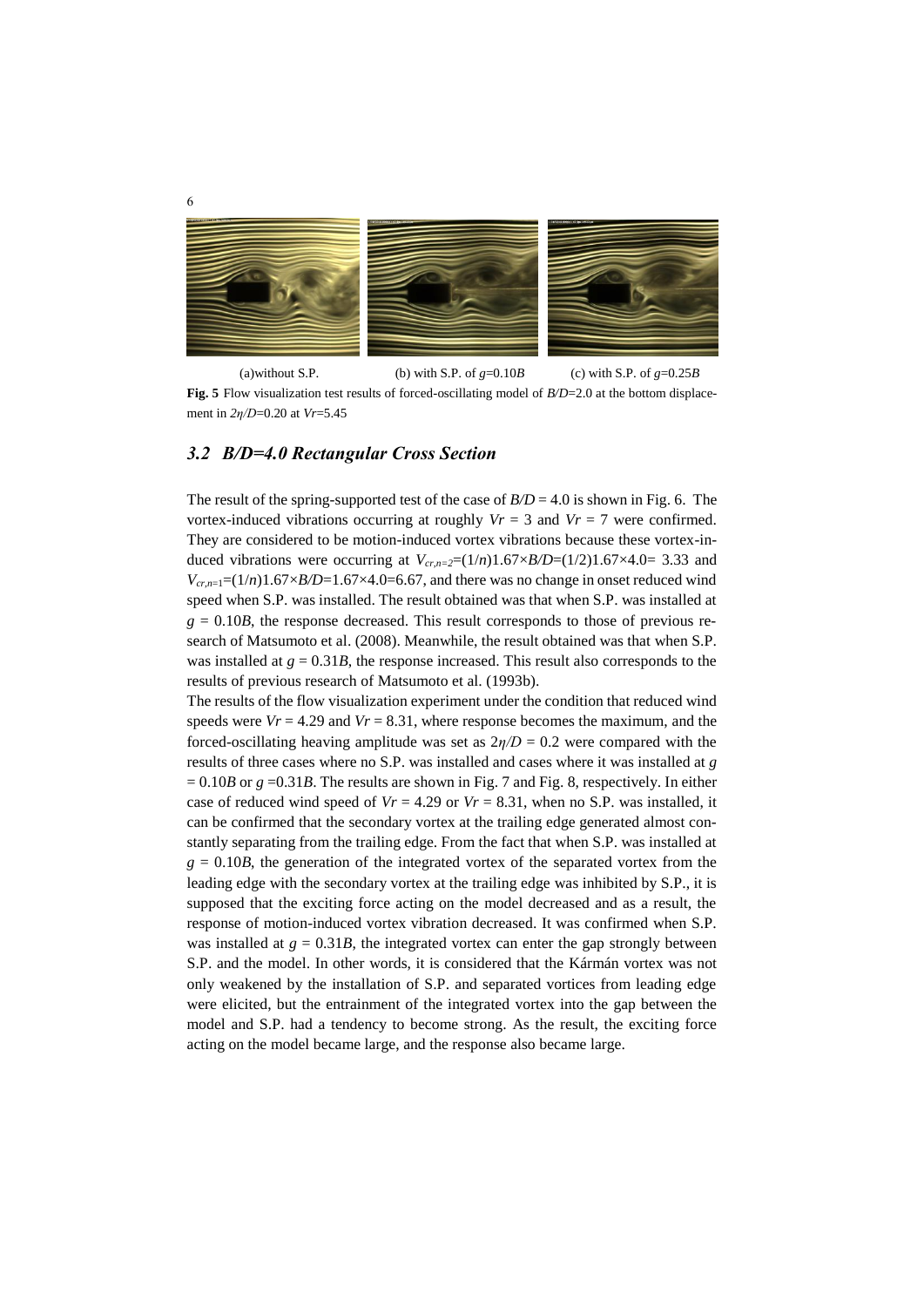

(a)without S.P. (b) with S.P. of  $g=0.10B$  (c) with S.P. of  $g=0.25B$ **Fig. 5** Flow visualization test results of forced-oscillating model of *B/D*=2.0 at the bottom displacement in *2η/D*=0.20 at *Vr*=5.45

# *3.2 B/D=4.0 Rectangular Cross Section*

The result of the spring-supported test of the case of  $B/D = 4.0$  is shown in Fig. 6. The vortex-induced vibrations occurring at roughly  $Vr = 3$  and  $Vr = 7$  were confirmed. They are considered to be motion-induced vortex vibrations because these vortex-induced vibrations were occurring at  $V_{cr,n=2}=(1/n)1.67\times B/D=(1/2)1.67\times 4.0=3.33$  and  $V_{cr,n=1}$ =(1/*n*)1.67×*B*/*D*=1.67×4.0=6.67, and there was no change in onset reduced wind speed when S.P. was installed. The result obtained was that when S.P. was installed at  $g = 0.10B$ , the response decreased. This result corresponds to those of previous research of Matsumoto et al. (2008). Meanwhile, the result obtained was that when S.P. was installed at  $g = 0.31B$ , the response increased. This result also corresponds to the results of previous research of Matsumoto et al. (1993b).

The results of the flow visualization experiment under the condition that reduced wind speeds were  $Vr = 4.29$  and  $Vr = 8.31$ , where response becomes the maximum, and the forced-oscillating heaving amplitude was set as  $2\eta/D = 0.2$  were compared with the results of three cases where no S.P. was installed and cases where it was installed at *g*   $= 0.10B$  or  $g = 0.31B$ . The results are shown in Fig. 7 and Fig. 8, respectively. In either case of reduced wind speed of  $Vr = 4.29$  or  $Vr = 8.31$ , when no S.P. was installed, it can be confirmed that the secondary vortex at the trailing edge generated almost constantly separating from the trailing edge. From the fact that when S.P. was installed at  $g = 0.10B$ , the generation of the integrated vortex of the separated vortex from the leading edge with the secondary vortex at the trailing edge was inhibited by S.P., it is supposed that the exciting force acting on the model decreased and as a result, the response of motion-induced vortex vibration decreased. It was confirmed when S.P. was installed at  $g = 0.31B$ , the integrated vortex can enter the gap strongly between S.P. and the model. In other words, it is considered that the Kármán vortex was not only weakened by the installation of S.P. and separated vortices from leading edge were elicited, but the entrainment of the integrated vortex into the gap between the model and S.P. had a tendency to become strong. As the result, the exciting force acting on the model became large, and the response also became large.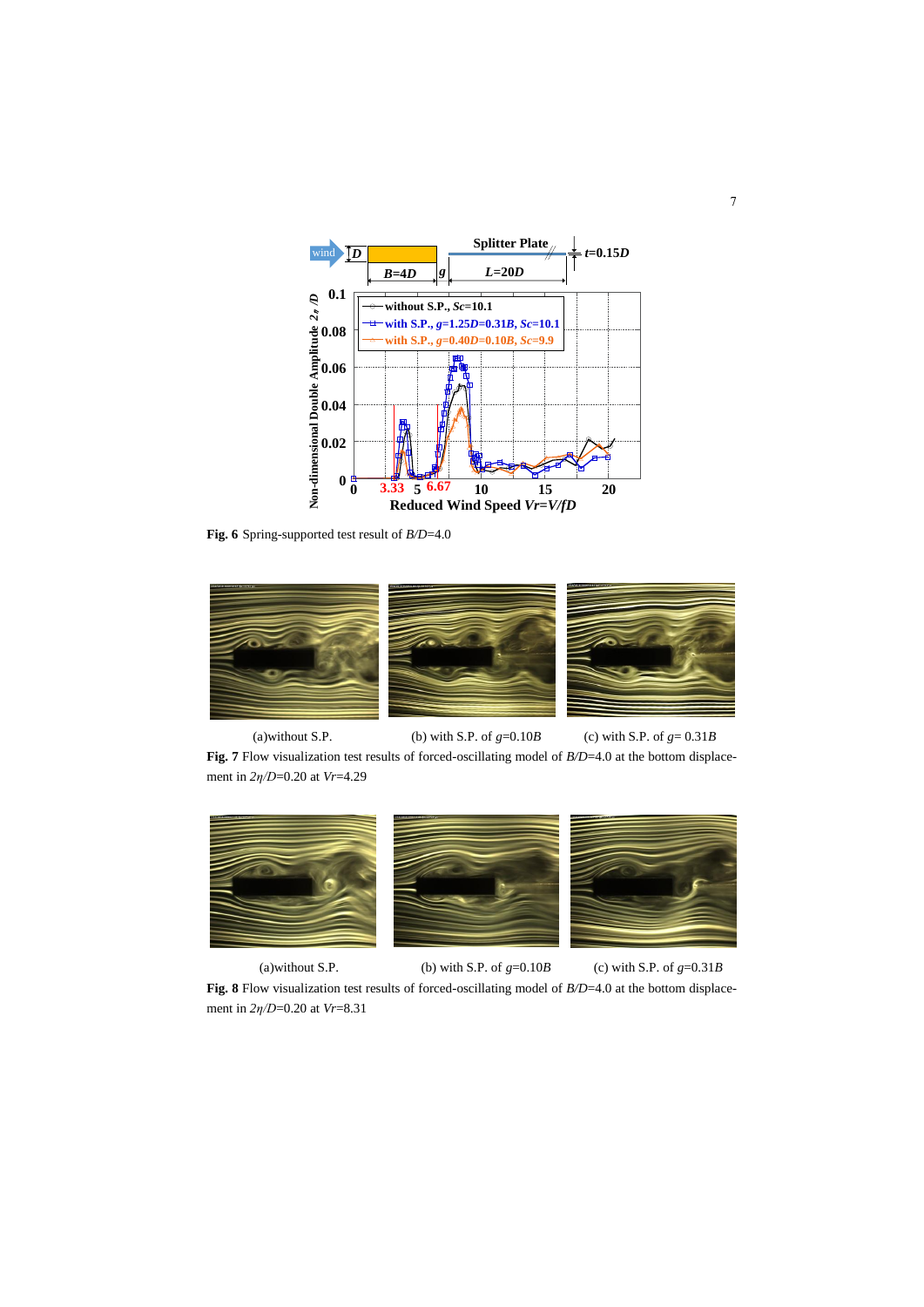

**Fig. 6** Spring-supported test result of *B/D*=4.0



(a)without S.P. (b) with S.P. of  $g=0.10B$  (c) with S.P. of  $g=0.31B$ **Fig. 7** Flow visualization test results of forced-oscillating model of *B*/*D*=4.0 at the bottom displacement in *2η/D*=0.20 at *Vr*=4.29



(a)without S.P. (b) with S.P. of  $g=0.10B$  (c) with S.P. of  $g=0.31B$ 

**Fig. 8** Flow visualization test results of forced-oscillating model of *B/D*=4.0 at the bottom displacement in *2η/D*=0.20 at *Vr*=8.31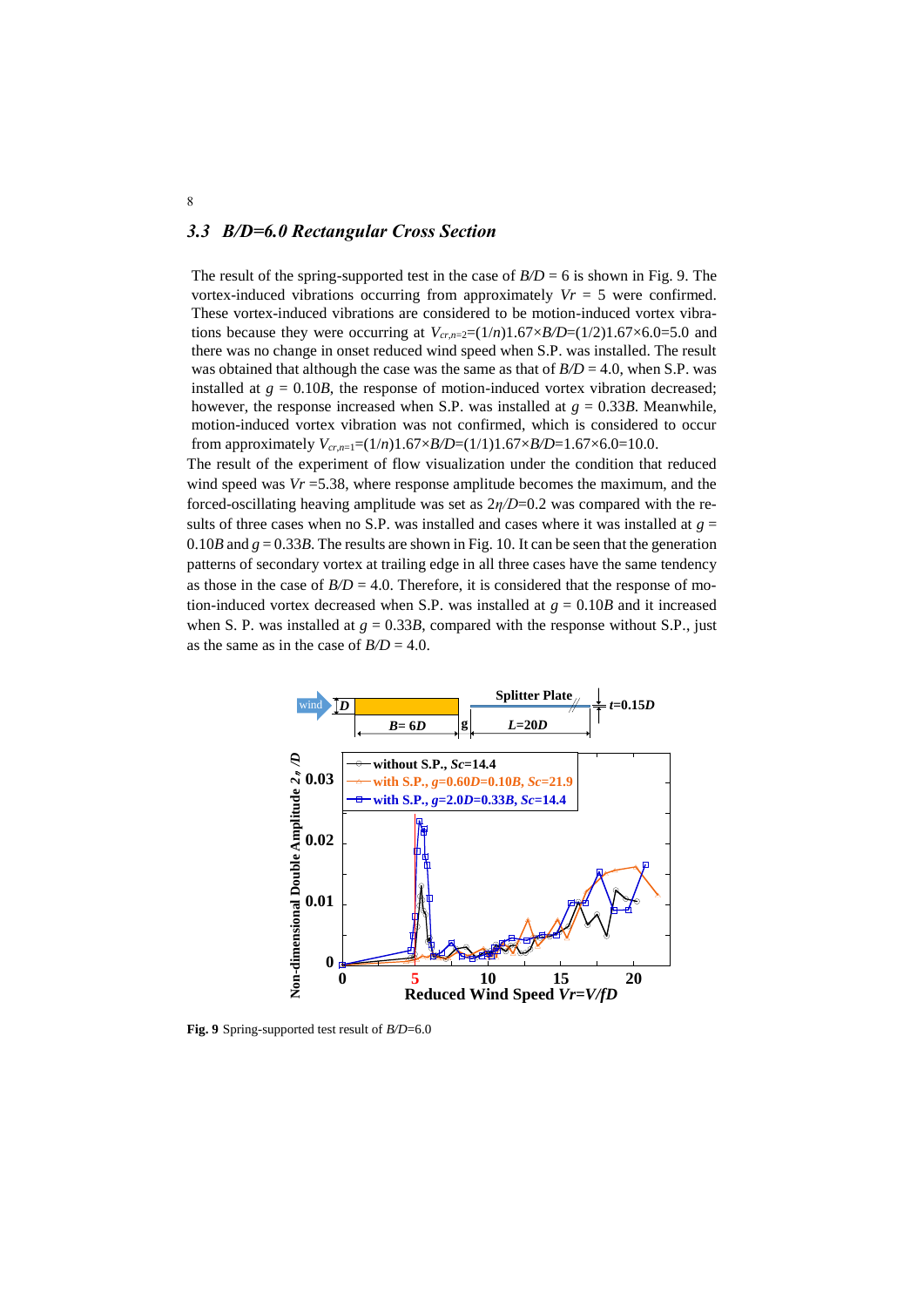# *3.3 B/D=6.0 Rectangular Cross Section*

The result of the spring-supported test in the case of  $B/D = 6$  is shown in Fig. 9. The vortex-induced vibrations occurring from approximately  $Vr = 5$  were confirmed. These vortex-induced vibrations are considered to be motion-induced vortex vibrations because they were occurring at  $V_{cr,n=2}=(1/n)1.67\times B/D=(1/2)1.67\times 6.0=5.0$  and there was no change in onset reduced wind speed when S.P. was installed. The result was obtained that although the case was the same as that of  $B/D = 4.0$ , when S.P. was installed at  $g = 0.10B$ , the response of motion-induced vortex vibration decreased; however, the response increased when S.P. was installed at  $g = 0.33B$ . Meanwhile, motion-induced vortex vibration was not confirmed, which is considered to occur from approximately  $V_{cr,n=1}=(1/n)1.67\times B/D=(1/1)1.67\times B/D=1.67\times 6.0=10.0$ .

The result of the experiment of flow visualization under the condition that reduced wind speed was *Vr* =5.38, where response amplitude becomes the maximum, and the forced-oscillating heaving amplitude was set as 2*η/D*=0.2 was compared with the results of three cases when no S.P. was installed and cases where it was installed at  $g =$ 0.10*B* and  $g = 0.33B$ . The results are shown in Fig. 10. It can be seen that the generation patterns of secondary vortex at trailing edge in all three cases have the same tendency as those in the case of  $B/D = 4.0$ . Therefore, it is considered that the response of motion-induced vortex decreased when S.P. was installed at  $g = 0.10B$  and it increased when S. P. was installed at  $g = 0.33B$ , compared with the response without S.P., just as the same as in the case of  $B/D = 4.0$ .



**Fig. 9** Spring-supported test result of *B/D*=6.0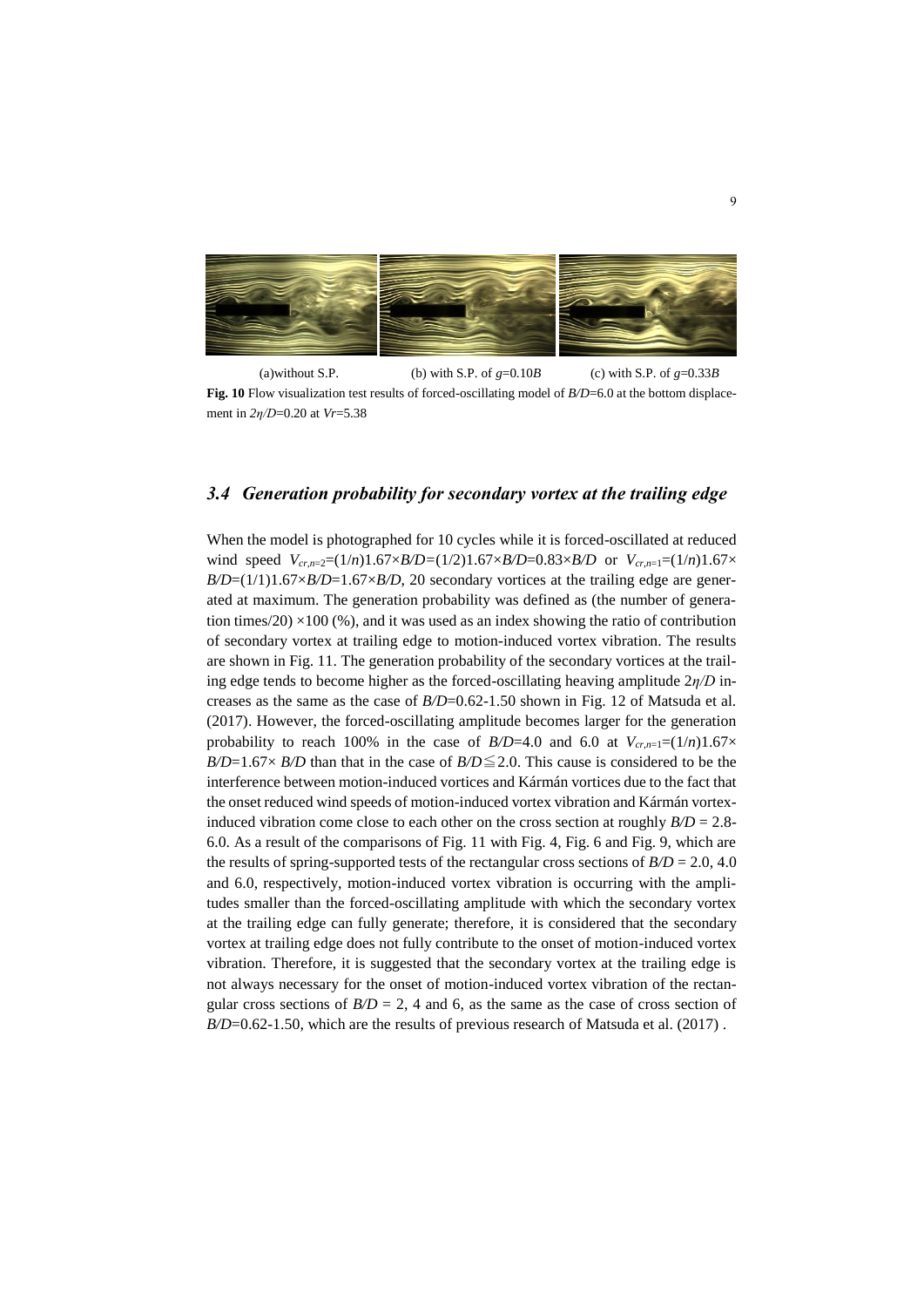

(a)without S.P. (b) with S.P. of  $g=0.10B$  (c) with S.P. of  $g=0.33B$ **Fig. 10** Flow visualization test results of forced-oscillating model of *B/D*=6.0 at the bottom displacement in *2η/D*=0.20 at *Vr*=5.38

#### *3.4 Generation probability for secondary vortex at the trailing edge*

When the model is photographed for 10 cycles while it is forced-oscillated at reduced wind speed  $V_{cr,n=2}=(1/n)1.67\times B/D=(1/2)1.67\times B/D=0.83\times B/D$  or  $V_{cr,n=1}=(1/n)1.67\times B/D=0.83\times B/D$  $B/D=(1/1)1.67\times B/D=1.67\times B/D$ , 20 secondary vortices at the trailing edge are generated at maximum. The generation probability was defined as (the number of generation times/20)  $\times$ 100 (%), and it was used as an index showing the ratio of contribution of secondary vortex at trailing edge to motion-induced vortex vibration. The results are shown in Fig. 11. The generation probability of the secondary vortices at the trailing edge tends to become higher as the forced-oscillating heaving amplitude 2*η/D* increases as the same as the case of *B/D*=0.62-1.50 shown in Fig. 12 of Matsuda et al. (2017). However, the forced-oscillating amplitude becomes larger for the generation probability to reach 100% in the case of *B*/D=4.0 and 6.0 at  $V_{cr,n=1}=(1/n)1.67\times$ *B/D*=1.67× *B/D* than that in the case of *B/D*  $\leq$  2.0. This cause is considered to be the interference between motion-induced vortices and Kármán vortices due to the fact that the onset reduced wind speeds of motion-induced vortex vibration and Kármán vortexinduced vibration come close to each other on the cross section at roughly *B/D* = 2.8- 6.0. As a result of the comparisons of Fig. 11 with Fig. 4, Fig. 6 and Fig. 9, which are the results of spring-supported tests of the rectangular cross sections of  $B/D = 2.0, 4.0$ and 6.0, respectively, motion-induced vortex vibration is occurring with the amplitudes smaller than the forced-oscillating amplitude with which the secondary vortex at the trailing edge can fully generate; therefore, it is considered that the secondary vortex at trailing edge does not fully contribute to the onset of motion-induced vortex vibration. Therefore, it is suggested that the secondary vortex at the trailing edge is not always necessary for the onset of motion-induced vortex vibration of the rectangular cross sections of  $B/D = 2$ , 4 and 6, as the same as the case of cross section of *B*/D=0.62-1.50, which are the results of previous research of Matsuda et al. (2017).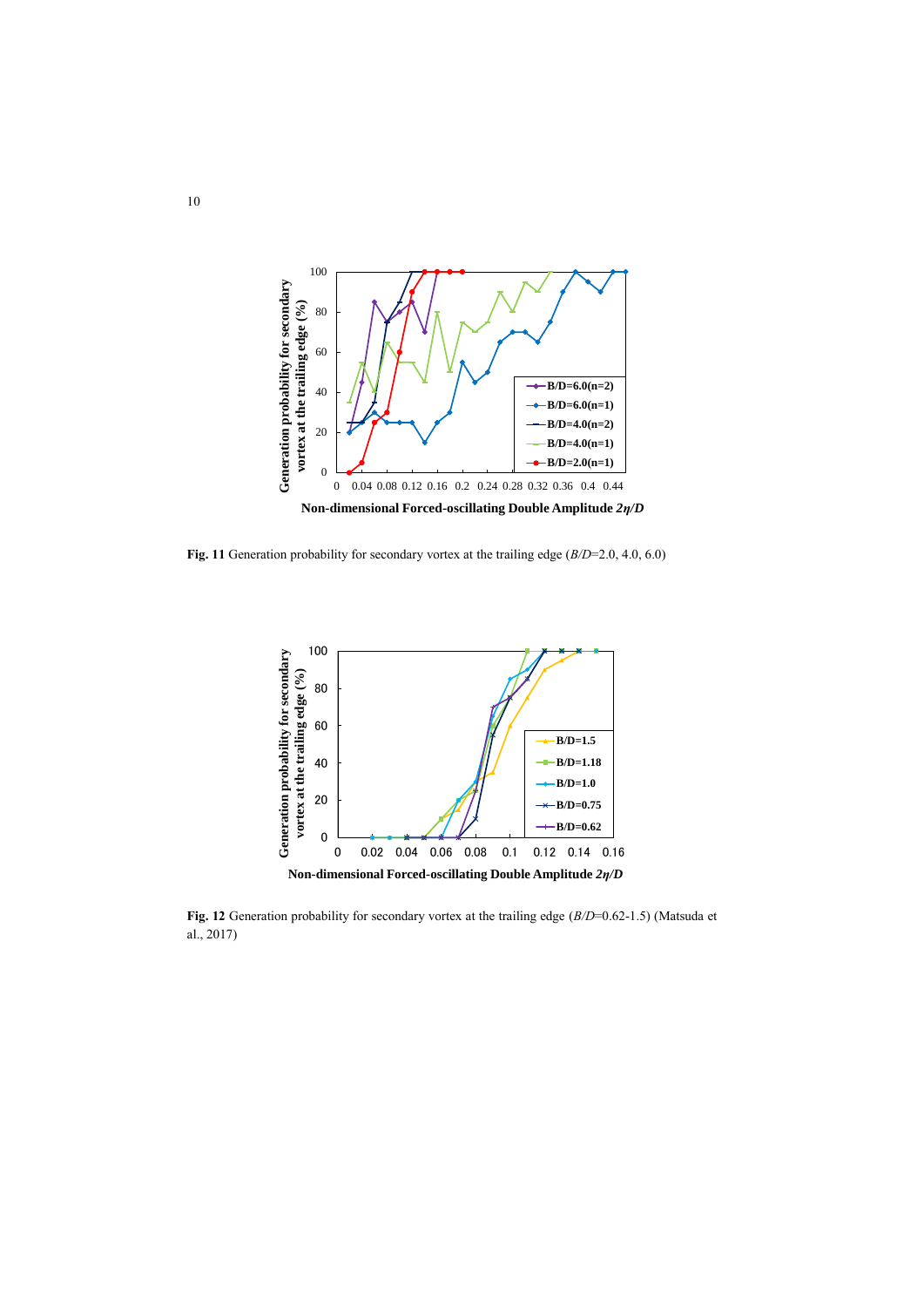

**Fig. 11** Generation probability for secondary vortex at the trailing edge (*B/D*=2.0, 4.0, 6.0)



**Fig. 12** Generation probability for secondary vortex at the trailing edge (*B/D*=0.62-1.5) (Matsuda et al., 2017)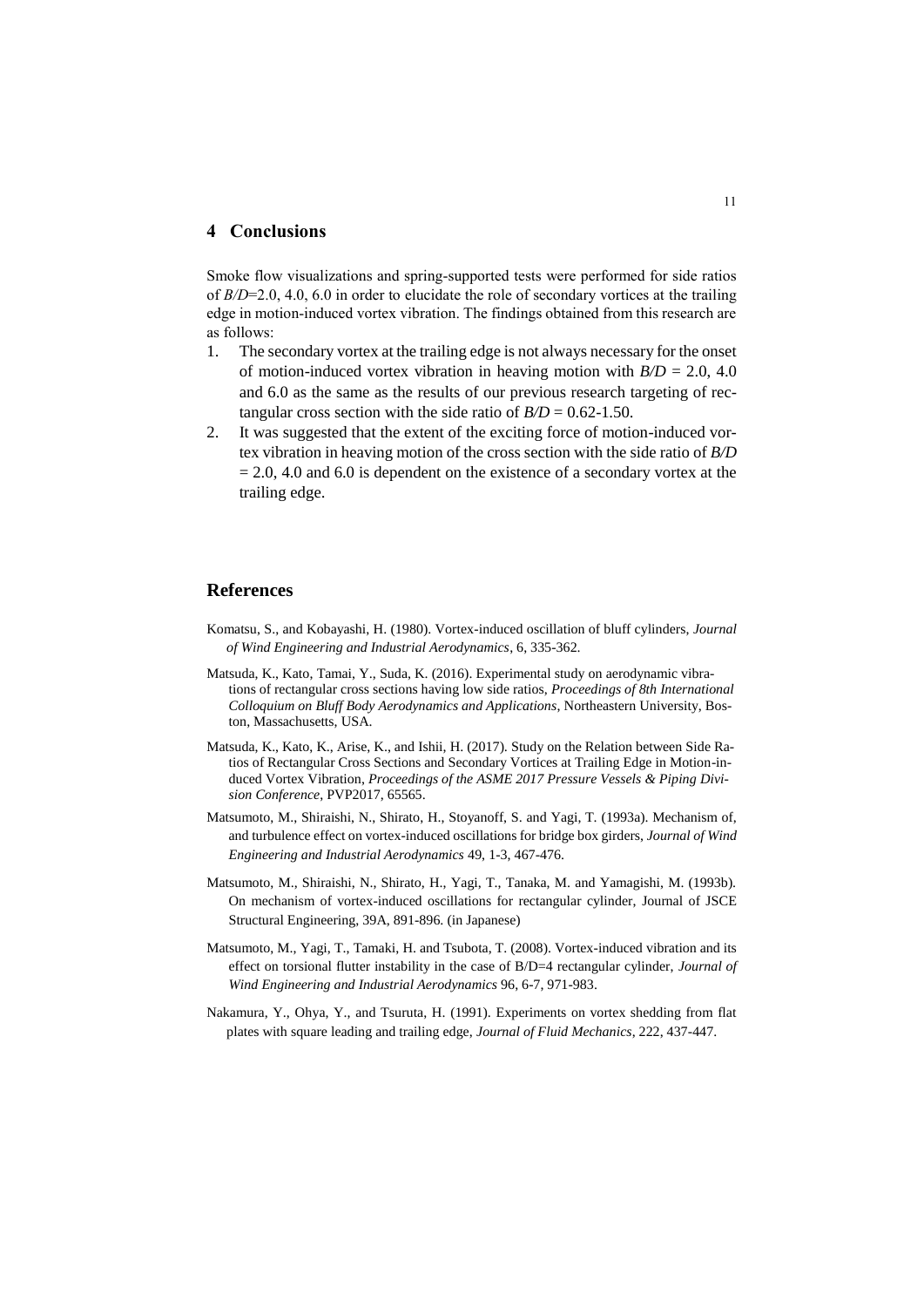### **4 Conclusions**

Smoke flow visualizations and spring-supported tests were performed for side ratios of *B/D*=2.0, 4.0, 6.0 in order to elucidate the role of secondary vortices at the trailing edge in motion-induced vortex vibration. The findings obtained from this research are as follows:

- 1. The secondary vortex at the trailing edge is not always necessary for the onset of motion-induced vortex vibration in heaving motion with  $B/D = 2.0, 4.0$ and 6.0 as the same as the results of our previous research targeting of rectangular cross section with the side ratio of  $B/D = 0.62 - 1.50$ .
- 2. It was suggested that the extent of the exciting force of motion-induced vortex vibration in heaving motion of the cross section with the side ratio of *B/D*  $= 2.0, 4.0$  and 6.0 is dependent on the existence of a secondary vortex at the trailing edge.

#### **References**

- Komatsu, S., and Kobayashi, H. (1980). Vortex-induced oscillation of bluff cylinders, *Journal of Wind Engineering and Industrial Aerodynamics*, 6, 335-362.
- Matsuda, K., Kato, Tamai, Y., Suda, K. (2016). Experimental study on aerodynamic vibrations of rectangular cross sections having low side ratios, *Proceedings of 8th International Colloquium on Bluff Body Aerodynamics and Applications*, Northeastern University, Boston, Massachusetts, USA.
- Matsuda, K., Kato, K., Arise, K., and Ishii, H. (2017). Study on the Relation between Side Ratios of Rectangular Cross Sections and Secondary Vortices at Trailing Edge in Motion-induced Vortex Vibration, *Proceedings of the ASME 2017 Pressure Vessels & Piping Division Conference*, PVP2017, 65565.
- Matsumoto, M., Shiraishi, N., Shirato, H., Stoyanoff, S. and Yagi, T. (1993a). Mechanism of, and turbulence effect on vortex-induced oscillations for bridge box girders, *Journal of Wind Engineering and Industrial Aerodynamics* 49, 1-3, 467-476.
- Matsumoto, M., Shiraishi, N., Shirato, H., Yagi, T., Tanaka, M. and Yamagishi, M. (1993b). On mechanism of vortex-induced oscillations for rectangular cylinder, Journal of JSCE Structural Engineering, 39A, 891-896. (in Japanese)
- Matsumoto, M., Yagi, T., Tamaki, H. and Tsubota, T. (2008). Vortex-induced vibration and its effect on torsional flutter instability in the case of B/D=4 rectangular cylinder, *Journal of Wind Engineering and Industrial Aerodynamics* 96, 6-7, 971-983.
- Nakamura, Y., Ohya, Y., and Tsuruta, H. (1991). Experiments on vortex shedding from flat plates with square leading and trailing edge, *Journal of Fluid Mechanics*, 222, 437-447.